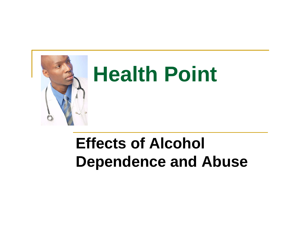

#### **Effects of Alcohol Dependence and Abuse**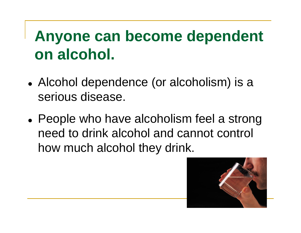## **Anyone can become dependent on alcohol.**

- Alcohol dependence (or alcoholism) is a serious disease.
- $\bullet$  People who have alcoholism feel a strong need to drink alcohol and cannot control how much alcohol they drink.

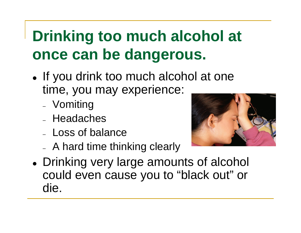## **Drinking too much alcohol at once can be dangerous.**

- If you drink too much alcohol at one time, you may experience:
	- Vomiting
	- Headaches
	- Loss of balance
	- A hard time thinking clearly



 $\bullet$  Drinking very large amounts of alcohol could even cause you to "black out" or die.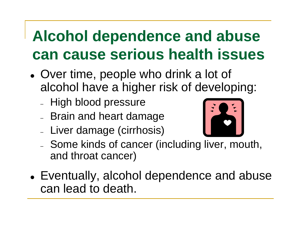## **Alcohol dependence and abuse can cause serious health issues**

- Over time, people who drink a lot of alcohol have a higher risk of developing:
	- High blood pressure
	- Brain and heart damage
	- Liver damage (cirrhosis)



- Some kinds of cancer (including liver, mouth, and throat cancer)
- Eventually, alcohol dependence and abuse can lead to death.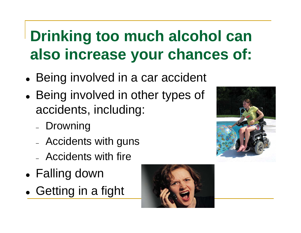# **Drinking too much alcohol can also increase your chances of:**

- $\bullet$ • Being involved in a car accident
- $\bullet$ • Being involved in other types of accidents, including:
	- Drowning
	- Accidents with guns
	- Accidents with fire
- $\bullet$ Falling down
- $\bullet$ • Getting in a fight



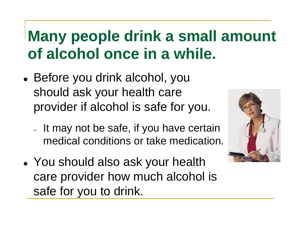#### **Many people drink a small amount of alcohol once in a while.**

- Before you drink alcohol, you should ask your health care provider if alcohol is safe for you.
	- $-$  It may not be safe, if you have certain medical conditions or take medication.
- You should also ask your health care provider how much alcohol is safe for you to drink.

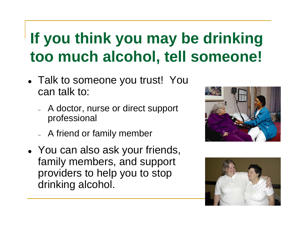## **If you think you may be drinking too much alcohol, tell someone!**

- Talk to someone you trust! You can talk to:
	- A doctor, nurse or direct support professional
	- A friend or family member
- You can also ask your friends, family members, and support providers to help you to stop drinking alcohol.



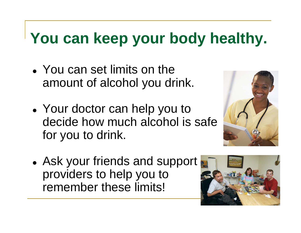# **You can keep your body healthy.**

- You can set limits on the amount of alcohol you drink.
- Your doctor can help you to decide how much alcohol is safe for you to drink.



• Ask your friends and support providers to help you to remember these limits!

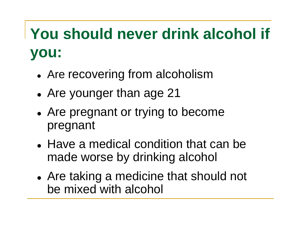# **You should never drink alcohol if you:**

- $\bullet$ Are recovering from alcoholism
- $\bullet$ Are younger than age 21
- $\bullet$  Are pregnant or trying to become pregnant
- Have a medical condition that can be made worse by drinking alcohol
- $\bullet$  Are taking a medicine that should not be mixed with alcohol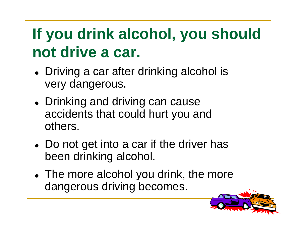# **If you drink alcohol, you should not drive a car.**

- Driving a car after drinking alcohol is very dangerous.
- Drinking and driving can cause accidents that could hurt you and others.
- Do not get into a car if the driver has been drinking alcohol.
- The more alcohol you drink, the more dangerous driving becomes.

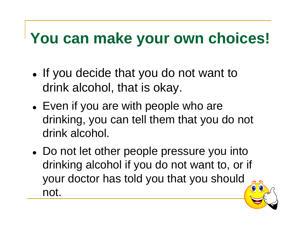## **You can make your own choices!**

- If you decide that you do not want to drink alcohol, that is okay.
- Even if you are with people who are drinking, you can tell them that you do not drink alcohol.
- Do not let other people pressure you into drinking alcohol if you do not want to, or if your doctor has told you that you should not.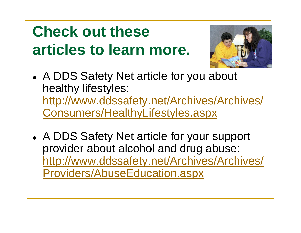# **Check out these articles to learn more.**



- A DDS Safety Net article for you about healthy lifestyles: http://www.ddssafety.net/Archives/Archives/ Consumers/HealthyLifestyles.aspx
- A DDS Safety Net article for your support provider about alcohol and drug abuse: http://www.ddssafety.net/Archives/Archives/ Providers/AbuseEducation.aspx